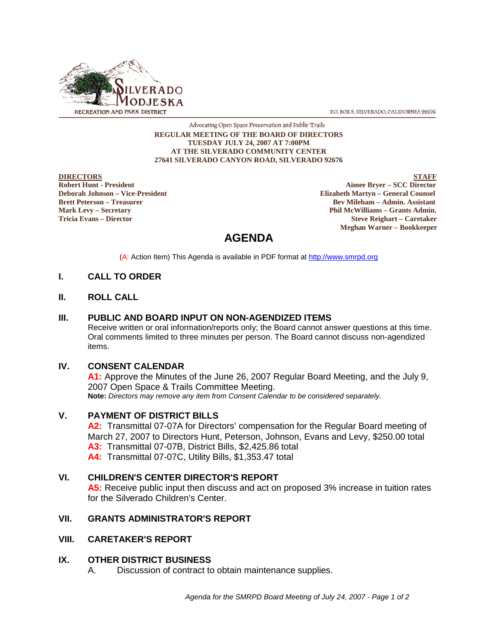

P.O. BOX 8, SILVERADO, CALIFORNIA 92676

#### Advocating Open Space Preservation and Public Trails **REGULAR MEETING OF THE BOARD OF DIRECTORS TUESDAY JULY 24, 2007 AT 7:00PM AT THE SILVERADO COMMUNITY CENTER 27641 SILVERADO CANYON ROAD, SILVERADO 92676**

EXTORE STAFF<br> **Robert Hunt - President**<br> **Robert Hunt - President Aimee Bryer – SCC Director Deborah Johnson – Vice-President Elizabeth Martyn – General Counsel Bev Mileham – Admin. Assistant Mark Levy – Secretary Phil McWilliams – Grants Admin. Tricia Evans – Director Steve Reighart – Caretaker Meghan Warner – Bookkeeper**

# **AGENDA**

(A: Action Item) This Agenda is available in PDF format at http://www.smrpd.org

# **I. CALL TO ORDER**

# **II. ROLL CALL**

#### **III. PUBLIC AND BOARD INPUT ON NON-AGENDIZED ITEMS**

Receive written or oral information/reports only; the Board cannot answer questions at this time. Oral comments limited to three minutes per person. The Board cannot discuss non-agendized items.

#### **IV. CONSENT CALENDAR**

**A1:** Approve the Minutes of the June 26, 2007 Regular Board Meeting, and the July 9, 2007 Open Space & Trails Committee Meeting. **Note:** *Directors may remove any item from Consent Calendar to be considered separately.*

# **V. PAYMENT OF DISTRICT BILLS**

**A2:** Transmittal 07-07A for Directors' compensation for the Regular Board meeting of March 27, 2007 to Directors Hunt, Peterson, Johnson, Evans and Levy, \$250.00 total **A3:** Transmittal 07-07B, District Bills, \$2,425.86 total **A4:** Transmittal 07-07C, Utility Bills, \$1,353.47 total

# **VI. CHILDREN'S CENTER DIRECTOR'S REPORT**

**A5:** Receive public input then discuss and act on proposed 3% increase in tuition rates for the Silverado Children's Center.

# **VII. GRANTS ADMINISTRATOR'S REPORT**

# **VIII. CARETAKER'S REPORT**

# **IX. OTHER DISTRICT BUSINESS**

A. Discussion of contract to obtain maintenance supplies.